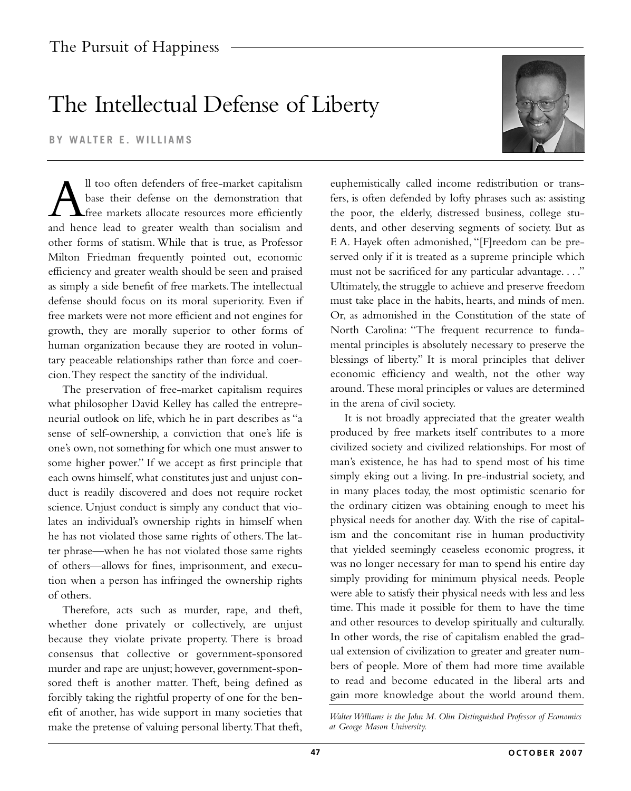## The Intellectual Defense of Liberty

**BY WALTER E. WILLIAMS**

All too often defenders of free-market capitalism<br>base their defense on the demonstration that<br>free markets allocate resources more efficiently<br>and hence lead to greater wealth than socialism and base their defense on the demonstration that free markets allocate resources more efficiently and hence lead to greater wealth than socialism and other forms of statism. While that is true, as Professor Milton Friedman frequently pointed out, economic efficiency and greater wealth should be seen and praised as simply a side benefit of free markets.The intellectual defense should focus on its moral superiority. Even if free markets were not more efficient and not engines for growth, they are morally superior to other forms of human organization because they are rooted in voluntary peaceable relationships rather than force and coercion.They respect the sanctity of the individual.

The preservation of free-market capitalism requires what philosopher David Kelley has called the entrepreneurial outlook on life, which he in part describes as "a sense of self-ownership, a conviction that one's life is one's own, not something for which one must answer to some higher power." If we accept as first principle that each owns himself, what constitutes just and unjust conduct is readily discovered and does not require rocket science. Unjust conduct is simply any conduct that violates an individual's ownership rights in himself when he has not violated those same rights of others.The latter phrase—when he has not violated those same rights of others—allows for fines, imprisonment, and execution when a person has infringed the ownership rights of others.

Therefore, acts such as murder, rape, and theft, whether done privately or collectively, are unjust because they violate private property. There is broad consensus that collective or government-sponsored murder and rape are unjust; however, government-sponsored theft is another matter. Theft, being defined as forcibly taking the rightful property of one for the benefit of another, has wide support in many societies that make the pretense of valuing personal liberty.That theft,

euphemistically called income redistribution or transfers, is often defended by lofty phrases such as: assisting the poor, the elderly, distressed business, college students, and other deserving segments of society. But as F. A. Hayek often admonished, "[F]reedom can be preserved only if it is treated as a supreme principle which must not be sacrificed for any particular advantage...." Ultimately, the struggle to achieve and preserve freedom must take place in the habits, hearts, and minds of men. Or, as admonished in the Constitution of the state of North Carolina: "The frequent recurrence to fundamental principles is absolutely necessary to preserve the blessings of liberty." It is moral principles that deliver economic efficiency and wealth, not the other way around. These moral principles or values are determined in the arena of civil society.

It is not broadly appreciated that the greater wealth produced by free markets itself contributes to a more civilized society and civilized relationships. For most of man's existence, he has had to spend most of his time simply eking out a living. In pre-industrial society, and in many places today, the most optimistic scenario for the ordinary citizen was obtaining enough to meet his physical needs for another day. With the rise of capitalism and the concomitant rise in human productivity that yielded seemingly ceaseless economic progress, it was no longer necessary for man to spend his entire day simply providing for minimum physical needs. People were able to satisfy their physical needs with less and less time. This made it possible for them to have the time and other resources to develop spiritually and culturally. In other words, the rise of capitalism enabled the gradual extension of civilization to greater and greater numbers of people. More of them had more time available to read and become educated in the liberal arts and gain more knowledge about the world around them.

*Walter Williams is the John M. Olin Distinguished Professor of Economics at George Mason University.*